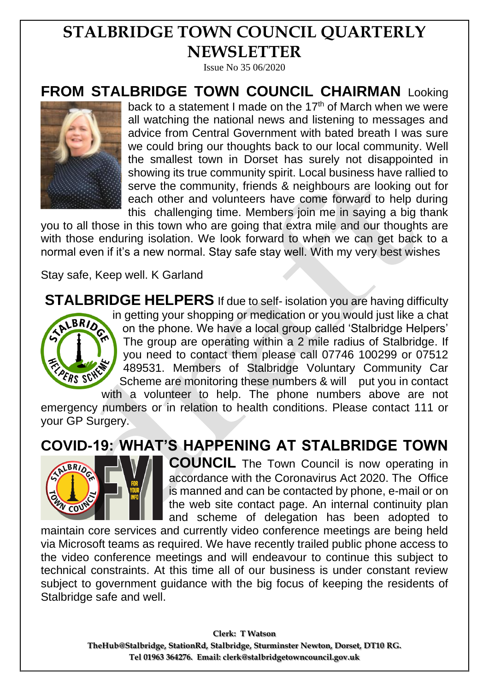## **STALBRIDGE TOWN COUNCIL QUARTERLY NEWSLETTER**

Issue No 35 06/2020

**FROM STALBRIDGE TOWN COUNCIL CHAIRMAN** Looking



back to a statement I made on the  $17<sup>th</sup>$  of March when we were all watching the national news and listening to messages and advice from Central Government with bated breath I was sure we could bring our thoughts back to our local community. Well the smallest town in Dorset has surely not disappointed in showing its true community spirit. Local business have rallied to serve the community, friends & neighbours are looking out for each other and volunteers have come forward to help during this challenging time. Members join me in saying a big thank

you to all those in this town who are going that extra mile and our thoughts are with those enduring isolation. We look forward to when we can get back to a normal even if it's a new normal. Stay safe stay well. With my very best wishes

Stay safe, Keep well. K Garland

**STALBRIDGE HELPERS** If due to self- isolation you are having difficulty in getting your shopping or medication or you would just like a chat BRIDE on the phone. We have a local group called 'Stalbridge Helpers' The group are operating within a 2 mile radius of Stalbridge. If you need to contact them please call 07746 100299 or 07512 489531. Members of Stalbridge Voluntary Community Car PERS SCH Scheme are monitoring these numbers & will put you in contact with a volunteer to help. The phone numbers above are not

emergency numbers or in relation to health conditions. Please contact 111 or your GP Surgery.

## **COVID-19: WHAT'S HAPPENING AT STALBRIDGE TOWN**



**COUNCIL** The Town Council is now operating in accordance with the Coronavirus Act 2020. The Office is manned and can be contacted by phone, e-mail or on the web site contact page. An internal continuity plan and scheme of delegation has been adopted to

maintain core services and currently video conference meetings are being held via Microsoft teams as required. We have recently trailed public phone access to the video conference meetings and will endeavour to continue this subject to technical constraints. At this time all of our business is under constant review subject to government guidance with the big focus of keeping the residents of Stalbridge safe and well.

> **Clerk: T Watson TheHub@Stalbridge, StationRd, Stalbridge, Sturminster Newton, Dorset, DT10 RG. Tel 01963 364276. Email: clerk@stalbridgetowncouncil.gov.uk**